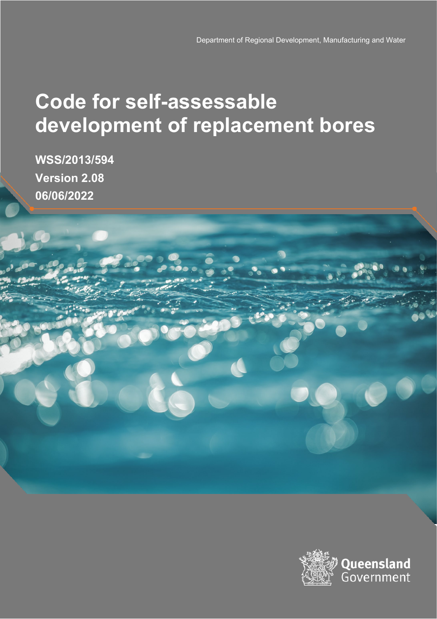# **Code for self-assessable development of replacement bores**

**WSS/2013/594 Version 2.08 06/06/2022**

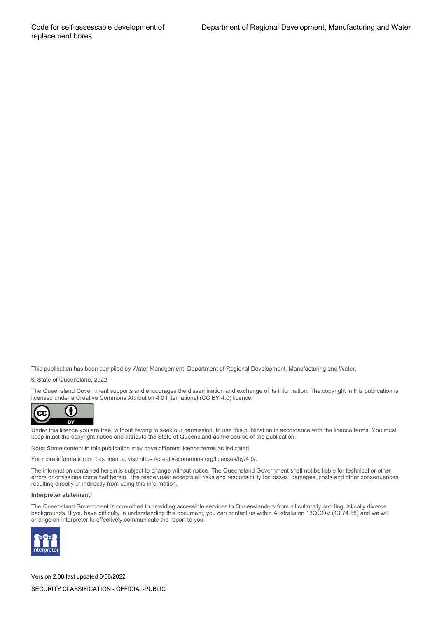This publication has been compiled by Water Management, Department of Regional Development, Manufacturing and Water.

© State of Queensland, 2022

The Queensland Government supports and encourages the dissemination and exchange of its information. The copyright in this publication is licensed under a Creative Commons Attribution 4.0 International (CC BY 4.0) licence.



Under this licence you are free, without having to seek our permission, to use this publication in accordance with the licence terms. You must keep intact the copyright notice and attribute the State of Queensland as the source of the publication.

Note: Some content in this publication may have different licence terms as indicated.

For more information on this licence, visit https://creativecommons.org/licenses/by/4.0/.

The information contained herein is subject to change without notice. The Queensland Government shall not be liable for technical or other errors or omissions contained herein. The reader/user accepts all risks and responsibility for losses, damages, costs and other consequences resulting directly or indirectly from using this information.

#### **Interpreter statement**:

The Queensland Government is committed to providing accessible services to Queenslanders from all culturally and linguistically diverse backgrounds. If you have difficulty in understanding this document, you can contact us within Australia on 13QGOV (13 74 68) and we will arrange an interpreter to effectively communicate the report to you.



Version 2.08 last updated 6/06/2022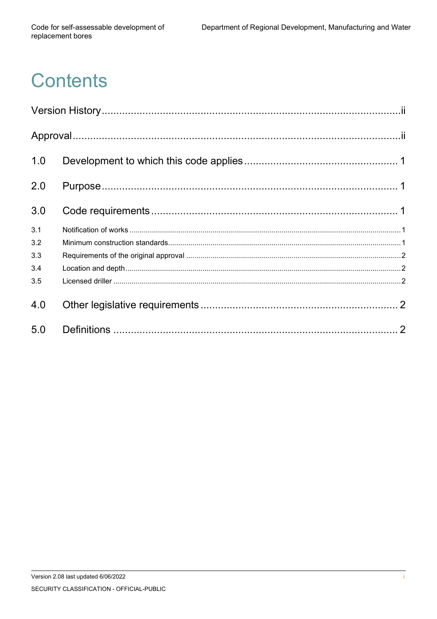# **Contents**

| 1.0 |  |
|-----|--|
| 2.0 |  |
| 3.0 |  |
| 3.1 |  |
| 3.2 |  |
| 3.3 |  |
| 3.4 |  |
| 3.5 |  |
| 4.0 |  |
| 5.0 |  |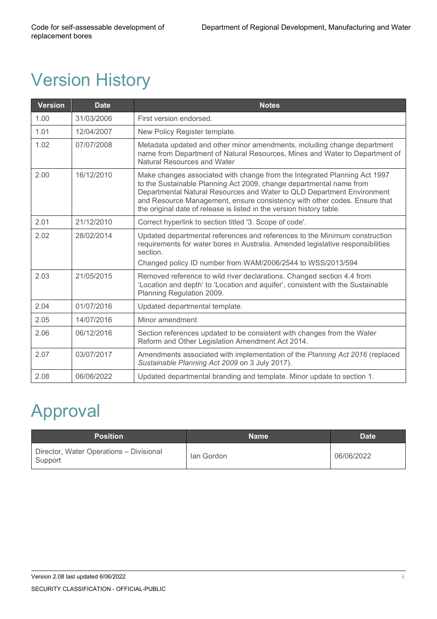## <span id="page-3-0"></span>Version History

| <b>Version</b> | <b>Date</b> | <b>Notes</b>                                                                                                                                                                                                                                                                                                                                                                    |
|----------------|-------------|---------------------------------------------------------------------------------------------------------------------------------------------------------------------------------------------------------------------------------------------------------------------------------------------------------------------------------------------------------------------------------|
| 1.00           | 31/03/2006  | First version endorsed.                                                                                                                                                                                                                                                                                                                                                         |
| 1.01           | 12/04/2007  | New Policy Register template.                                                                                                                                                                                                                                                                                                                                                   |
| 1.02           | 07/07/2008  | Metadata updated and other minor amendments, including change department<br>name from Department of Natural Resources, Mines and Water to Department of<br>Natural Resources and Water                                                                                                                                                                                          |
| 2.00           | 16/12/2010  | Make changes associated with change from the Integrated Planning Act 1997<br>to the Sustainable Planning Act 2009, change departmental name from<br>Departmental Natural Resources and Water to QLD Department Environment<br>and Resource Management, ensure consistency with other codes. Ensure that<br>the original date of release is listed in the version history table. |
| 2.01           | 21/12/2010  | Correct hyperlink to section titled '3. Scope of code'.                                                                                                                                                                                                                                                                                                                         |
| 2.02           | 28/02/2014  | Updated departmental references and references to the Minimum construction<br>requirements for water bores in Australia. Amended legislative responsibilities<br>section.                                                                                                                                                                                                       |
|                |             | Changed policy ID number from WAM/2006/2544 to WSS/2013/594                                                                                                                                                                                                                                                                                                                     |
| 2.03           | 21/05/2015  | Removed reference to wild river declarations. Changed section 4.4 from<br>'Location and depth' to 'Location and aquifer', consistent with the Sustainable<br>Planning Regulation 2009.                                                                                                                                                                                          |
| 2.04           | 01/07/2016  | Updated departmental template.                                                                                                                                                                                                                                                                                                                                                  |
| 2.05           | 14/07/2016  | Minor amendment                                                                                                                                                                                                                                                                                                                                                                 |
| 2.06           | 06/12/2016  | Section references updated to be consistent with changes from the Water<br>Reform and Other Legislation Amendment Act 2014.                                                                                                                                                                                                                                                     |
| 2.07           | 03/07/2017  | Amendments associated with implementation of the Planning Act 2016 (replaced<br>Sustainable Planning Act 2009 on 3 July 2017).                                                                                                                                                                                                                                                  |
| 2.08           | 06/06/2022  | Updated departmental branding and template. Minor update to section 1.                                                                                                                                                                                                                                                                                                          |

## <span id="page-3-1"></span>Approval

| <b>Position</b>                                    | <b>Name</b> | <b>Date</b> |
|----------------------------------------------------|-------------|-------------|
| Director, Water Operations - Divisional<br>Support | lan Gordon  | 06/06/2022  |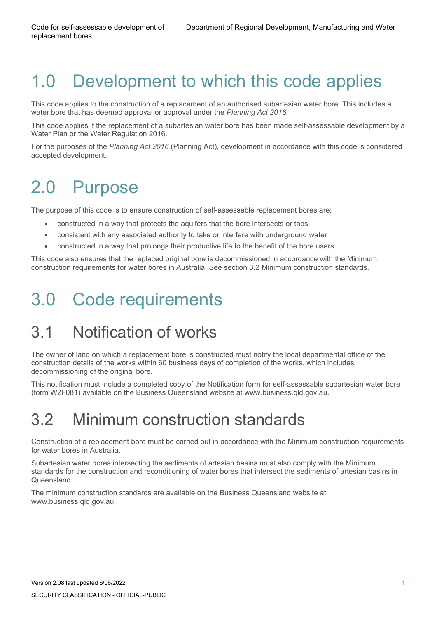## <span id="page-4-0"></span>1.0 Development to which this code applies

This code applies to the construction of a replacement of an authorised subartesian water bore. This includes a water bore that has deemed approval or approval under the *Planning Act 2016.*

This code applies if the replacement of a subartesian water bore has been made self-assessable development by a Water Plan or the Water Regulation 2016.

For the purposes of the *Planning Act 2016* (Planning Act), development in accordance with this code is considered accepted development.

## <span id="page-4-1"></span>2.0 Purpose

The purpose of this code is to ensure construction of self-assessable replacement bores are:

- constructed in a way that protects the aquifers that the bore intersects or taps
- consistent with any associated authority to take or interfere with underground water
- constructed in a way that prolongs their productive life to the benefit of the bore users.

This code also ensures that the replaced original bore is decommissioned in accordance with the Minimum construction requirements for water bores in Australia. See section 3.2 Minimum construction standards.

## <span id="page-4-2"></span>3.0 Code requirements

#### <span id="page-4-3"></span>3.1 Notification of works

The owner of land on which a replacement bore is constructed must notify the local departmental office of the construction details of the works within 60 business days of completion of the works, which includes decommissioning of the original bore.

This notification must include a completed copy of the Notification form for self-assessable subartesian water bore (form W2F081) available on the Business Queensland website at [www.business.qld.gov.au.](http://www.business.qld.gov.au/)

#### <span id="page-4-4"></span>3.2 Minimum construction standards

Construction of a replacement bore must be carried out in accordance with the Minimum construction requirements for water bores in Australia.

Subartesian water bores intersecting the sediments of artesian basins must also comply with the Minimum standards for the construction and reconditioning of water bores that intersect the sediments of artesian basins in Queensland.

The minimum construction standards are available on the Business Queensland website at [www.business.qld.gov.au.](http://www.business.qld.gov.au/)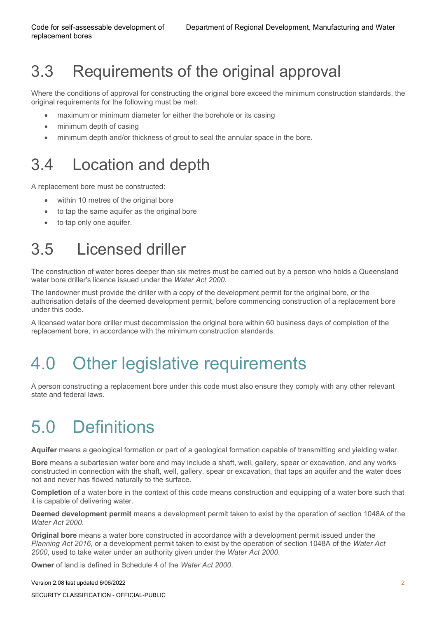### <span id="page-5-0"></span>3.3 Requirements of the original approval

Where the conditions of approval for constructing the original bore exceed the minimum construction standards, the original requirements for the following must be met:

- maximum or minimum diameter for either the borehole or its casing
- minimum depth of casing
- minimum depth and/or thickness of grout to seal the annular space in the bore.

#### <span id="page-5-1"></span>3.4 Location and depth

A replacement bore must be constructed:

- within 10 metres of the original bore
- to tap the same aquifer as the original bore
- <span id="page-5-2"></span>to tap only one aquifer.

#### 3.5 Licensed driller

The construction of water bores deeper than six metres must be carried out by a person who holds a Queensland water bore driller's licence issued under the *Water Act 2000*.

The landowner must provide the driller with a copy of the development permit for the original bore, or the authorisation details of the deemed development permit, before commencing construction of a replacement bore under this code.

A licensed water bore driller must decommission the original bore within 60 business days of completion of the replacement bore, in accordance with the minimum construction standards.

## <span id="page-5-3"></span>4.0 Other legislative requirements

A person constructing a replacement bore under this code must also ensure they comply with any other relevant state and federal laws.

## <span id="page-5-4"></span>5.0 Definitions

**Aquifer** means a geological formation or part of a geological formation capable of transmitting and yielding water.

**Bore** means a subartesian water bore and may include a shaft, well, gallery, spear or excavation, and any works constructed in connection with the shaft, well, gallery, spear or excavation, that taps an aquifer and the water does not and never has flowed naturally to the surface.

**Completion** of a water bore in the context of this code means construction and equipping of a water bore such that it is capable of delivering water.

**Deemed development permit** means a development permit taken to exist by the operation of section 1048A of the *Water Act 2000*.

**Original bore** means a water bore constructed in accordance with a development permit issued under the *Planning Act 2016*, or a development permit taken to exist by the operation of section 1048A of the *Water Act 2000*, used to take water under an authority given under the *Water Act 2000*.

**Owner** of land is defined in Schedule 4 of the *Water Act 2000*.

SECURITY CLASSIFICATION - OFFICIAL-PUBLIC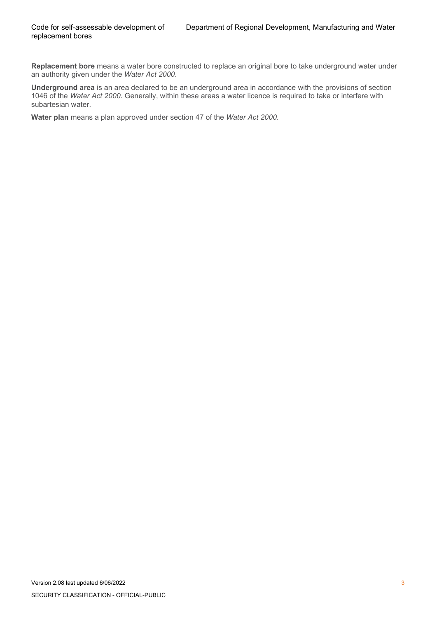**Replacement bore** means a water bore constructed to replace an original bore to take underground water under an authority given under the *Water Act 2000*.

**Underground area** is an area declared to be an underground area in accordance with the provisions of section 1046 of the *Water Act 2000*. Generally, within these areas a water licence is required to take or interfere with subartesian water.

**Water plan** means a plan approved under section 47 of the *Water Act 2000*.